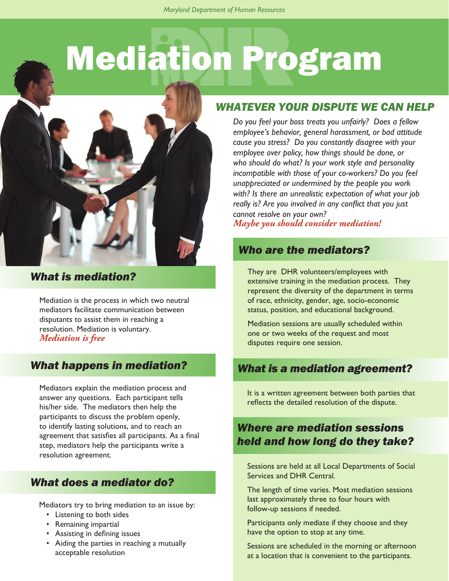# Mediation Program



#### *What is mediation?*

Mediation is the process in which two neutral mediators facilitate communication between disputants to assist them in reaching a resolution. Mediation is voluntary. *Mediation is free* 

#### *What happens in mediation?*

Mediators explain the mediation process and answer any questions. Each participant tells his/her side. The mediators then help the participants to discuss the problem openly, to identify lasting solutions, and to reach an agreement that satisfies all participants. As a final step, mediators help the participants write a resolution agreement.

#### *What does a mediator do?*

Mediators try to bring mediation to an issue by:

- Listening to both sides
- Remaining impartial
- Assisting in defining issues
- Aiding the parties in reaching a mutually acceptable resolution

#### *WHATEVER YOUR DISPUTE WE CAN HELP*

*Do you feel your boss treats you unfairly? Does a fellow employee's behavior, general harassment, or bad attitude cause you stress? Do you constantly disagree with your employee over policy, how things should be done, or who should do what? Is your work style and personality incompatible with those of your co-workers? Do you feel unappreciated or undermined by the people you work with? Is there an unrealistic expectation of what your job really is? Are you involved in any conflict that you just cannot resolve on your own? Maybe you should consider mediation!*

#### *Who are the mediators?*

They are DHR volunteers/employees with extensive training in the mediation process. They represent the diversity of the department in terms of race, ethnicity, gender, age, socio-economic status, position, and educational background.

Mediation sessions are usually scheduled within one or two weeks of the request and most disputes require one session.

#### *What is a mediation agreement?*

It is a written agreement between both parties that reflects the detailed resolution of the dispute.

#### *Where are mediation sessions held and how long do they take?*

Sessions are held at all Local Departments of Social Services and DHR Central.

The length of time varies. Most mediation sessions last approximately three to four hours with follow-up sessions if needed.

Participants only mediate if they choose and they have the option to stop at any time.

Sessions are scheduled in the morning or afternoon at a location that is convenient to the participants.